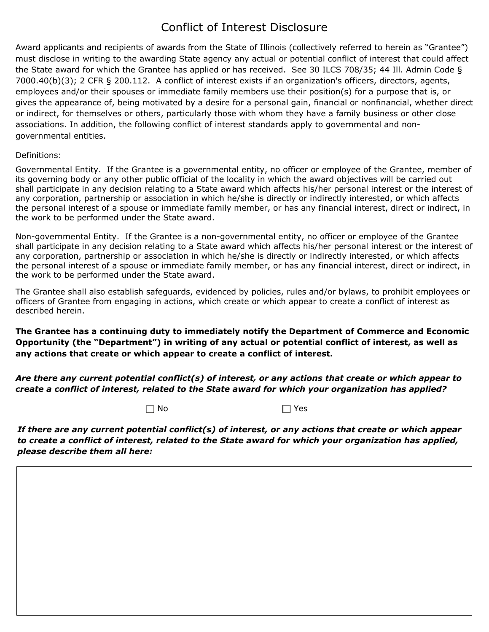## Conflict of Interest Disclosure

Award applicants and recipients of awards from the State of Illinois (collectively referred to herein as "Grantee") must disclose in writing to the awarding State agency any actual or potential conflict of interest that could affect the State award for which the Grantee has applied or has received. See 30 ILCS 708/35; 44 Ill. Admin Code § 7000.40(b)(3); 2 CFR § 200.112. A conflict of interest exists if an organization's officers, directors, agents, employees and/or their spouses or immediate family members use their position(s) for a purpose that is, or gives the appearance of, being motivated by a desire for a personal gain, financial or nonfinancial, whether direct or indirect, for themselves or others, particularly those with whom they have a family business or other close associations. In addition, the following conflict of interest standards apply to governmental and nongovernmental entities.

## Definitions:

Governmental Entity. If the Grantee is a governmental entity, no officer or employee of the Grantee, member of its governing body or any other public official of the locality in which the award objectives will be carried out shall participate in any decision relating to a State award which affects his/her personal interest or the interest of any corporation, partnership or association in which he/she is directly or indirectly interested, or which affects the personal interest of a spouse or immediate family member, or has any financial interest, direct or indirect, in the work to be performed under the State award.

Non-governmental Entity. If the Grantee is a non-governmental entity, no officer or employee of the Grantee shall participate in any decision relating to a State award which affects his/her personal interest or the interest of any corporation, partnership or association in which he/she is directly or indirectly interested, or which affects the personal interest of a spouse or immediate family member, or has any financial interest, direct or indirect, in the work to be performed under the State award.

The Grantee shall also establish safeguards, evidenced by policies, rules and/or bylaws, to prohibit employees or officers of Grantee from engaging in actions, which create or which appear to create a conflict of interest as described herein.

**The Grantee has a continuing duty to immediately notify the Department of Commerce and Economic Opportunity (the "Department") in writing of any actual or potential conflict of interest, as well as any actions that create or which appear to create a conflict of interest.**

*Are there any current potential conflict(s) of interest, or any actions that create or which appear to create a conflict of interest, related to the State award for which your organization has applied?* 

 $\Box$  No  $\Box$  Yes

*If there are any current potential conflict(s) of interest, or any actions that create or which appear to create a conflict of interest, related to the State award for which your organization has applied, please describe them all here:*